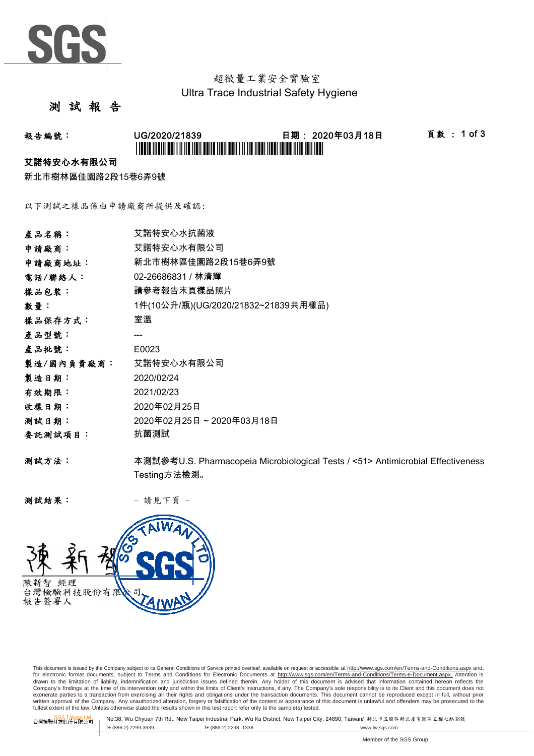

## 超微量工業安全實驗室 Ultra Trace Industrial Safety Hygiene

### 測 試 報 告

# 報告編號: UG/2020/21839 日期: 2020年03月18日 頁數 : 1 of 3 \*UG/2020/21839\*

#### 艾諾特安心水有限公司

新北市樹林區佳園路2段15巷6弄9號

以下測試之樣品係由申請廠商所提供及確認:

| 產品名稱:      | 艾諾特安心水抗菌液                                                                       |
|------------|---------------------------------------------------------------------------------|
| 申請廠商:      | 艾諾特安心水有限公司                                                                      |
| 申請廠商地址:    | 新北市樹林區佳園路2段15巷6弄9號                                                              |
| 電話/聯絡人:    | 02-26686831 / 林清輝                                                               |
| 樣品包裝:      | 請參考報告末頁樣品照片                                                                     |
| 數量:        | 1件(10公升/瓶)(UG/2020/21832~21839共用樣品)                                             |
| 樣品保存方式:    | 室溫                                                                              |
| 產品型號:      |                                                                                 |
| 產品批號:      | E0023                                                                           |
| 製造/國內負責廠商: | 艾諾特安心水有限公司                                                                      |
| 製造日期:      | 2020/02/24                                                                      |
| 有效期限:      | 2021/02/23                                                                      |
| 收樣日期:      | 2020年02月25日                                                                     |
| 测試日期:      | 2020年02月25日~2020年03月18日                                                         |
| 委託測試項目:    | 抗菌測試                                                                            |
| 测試方法:      | 本測試參考U.S. Pharmacopeia Microbiological Tests / <51> Antimicrobial Effectiveness |
|            | Testing方法檢測。                                                                    |

测試結果: - 請見下頁 -



This document is issued by the Company subject to its General Conditions of Service printed overleaf, available on request or accessible at http://www.sgs.com/en/Terms-and-Conditions.aspx and, for electronic format documents, subject to Terms and Conditions for Electronic Documents at <u>http://www.sqs.com/en/Terms-and-Conditions/Terms-e-Document.aspx.</u> Attention is<br>drawn to the limitation of liability, indemnific exonerate parties to a transaction from exercising all their rights and obligations under the transaction documents. This document cannot be reproduced except in full, without prior prior<br>written approval of the Company. A

SGS Taiwan Ltd. No.38, Wu Chyuan 7th Rd., New Taipei Industrial Park, Wu Ku District, New Taipei City, 24890, Taiwan/ 新北市五股區新北產業園區五權七路38號<br>| t+ (886-2) 2299-3939 f+ (886-2) 2298 -1338 www.tw. t+ (886-2) 2299-3939 f+ (886-2) 2298 -1338 www.tw.sgs.com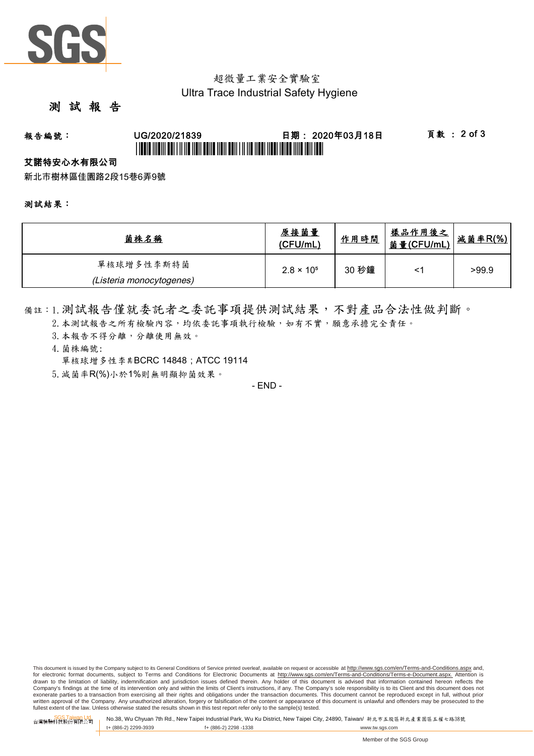

## 超微量工業安全實驗室 Ultra Trace Industrial Safety Hygiene

### 測 試 報 告

# 報告編號: UG/2020/21839 日期: 2020年03月18日 頁數 : 2 of 3 \*UGBIT INDIVI ABI I II IID NON BANA NAN ABIN I II IID NABI INDIVIDID INI BAN IBN I

#### 艾諾特安心水有限公司

新北市樹林區佳園路2段15巷6弄9號

測試結果:

| 菌株名稱                     | 原接菌量<br>(CFU/mL)    | 作用時間  | <u>樣品作用後之</u><br>菌量(CFU/mL) | <u>減菌率R(%)</u> |
|--------------------------|---------------------|-------|-----------------------------|----------------|
| 單核球增多性李斯特菌               | $2.8 \times 10^{5}$ | 30 秒鐘 |                             | >99.9          |
| (Listeria monocytogenes) |                     |       |                             |                |

備註:1.測試報告僅就委託者之委託事項提供測試結果,不對產品合法性做判斷。

- 2. 本測試報告之所有檢驗內容,均依委託事項執行檢驗,如有不實,願意承擔完全責任。
- 3. 本報告不得分離,分離使用無效。
- 4.菌株編號: 單核球增多性李期BCRC 14848; ATCC 19114
- 5.減菌率R(%)小於1%則無明顯抑菌效果。

- END -

This document is issued by the Company subject to its General Conditions of Service printed overleaf, available on request or accessible at http://www.sqs.com/en/Terms-and-Conditions.aspx and, for electronic format documents, subject to Terms and Conditions for Electronic Documents at http://www.sgs.com/en/Terms-and-Conditions/Terms-e-Document.aspx. Attention is drawn to the limitation of liability, indemnification and jurisdiction issues defined therein. Any holder of this document is advised that information contained hereon reflects the<br>Company's findings at the time of its int exonerate parties to a transaction from exercising all their rights and obligations under the transaction documents. This document cannot be reproduced except in full, without prior written approval of the Company. Any unauthorized alteration, forgery or falsification of the content or appearance of this document is unlawful and offenders may be prosecuted to the<br>fullest extent of the law. Unless othe